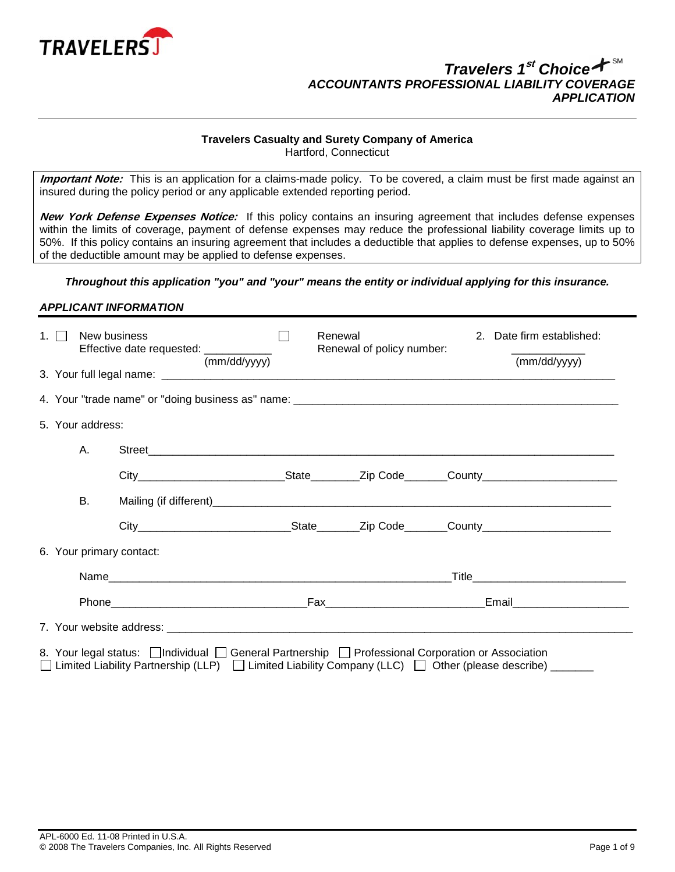

# **Travelers Casualty and Surety Company of America**

Hartford, Connecticut

**Important Note:** This is an application for a claims-made policy. To be covered, a claim must be first made against an insured during the policy period or any applicable extended reporting period.

**New York Defense Expenses Notice:** If this policy contains an insuring agreement that includes defense expenses within the limits of coverage, payment of defense expenses may reduce the professional liability coverage limits up to 50%. If this policy contains an insuring agreement that includes a deductible that applies to defense expenses, up to 50% of the deductible amount may be applied to defense expenses.

# *Throughout this application "you" and "your" means the entity or individual applying for this insurance.*

### *APPLICANT INFORMATION*

| 1. 11                                                                                                                                                                                                          | New business | Effective date requested: ____________ | (mm/dd/yyyy) |  | Renewal | Renewal of policy number: |  | 2. Date firm established:<br>(mm/dd/yyyy) |
|----------------------------------------------------------------------------------------------------------------------------------------------------------------------------------------------------------------|--------------|----------------------------------------|--------------|--|---------|---------------------------|--|-------------------------------------------|
|                                                                                                                                                                                                                |              |                                        |              |  |         |                           |  |                                           |
|                                                                                                                                                                                                                |              |                                        |              |  |         |                           |  |                                           |
| 5. Your address:                                                                                                                                                                                               |              |                                        |              |  |         |                           |  |                                           |
|                                                                                                                                                                                                                | Α.           |                                        |              |  |         |                           |  |                                           |
|                                                                                                                                                                                                                |              |                                        |              |  |         |                           |  |                                           |
|                                                                                                                                                                                                                | В.           |                                        |              |  |         |                           |  |                                           |
|                                                                                                                                                                                                                |              |                                        |              |  |         |                           |  |                                           |
|                                                                                                                                                                                                                |              | 6. Your primary contact:               |              |  |         |                           |  |                                           |
|                                                                                                                                                                                                                |              |                                        |              |  |         |                           |  | _Title__________________________________  |
|                                                                                                                                                                                                                |              |                                        |              |  |         |                           |  |                                           |
|                                                                                                                                                                                                                |              |                                        |              |  |         |                           |  |                                           |
| 8. Your legal status:   Individual   General Partnership   Professional Corporation or Association<br>□ Limited Liability Partnership (LLP) □ Limited Liability Company (LLC) □ Other (please describe) ______ |              |                                        |              |  |         |                           |  |                                           |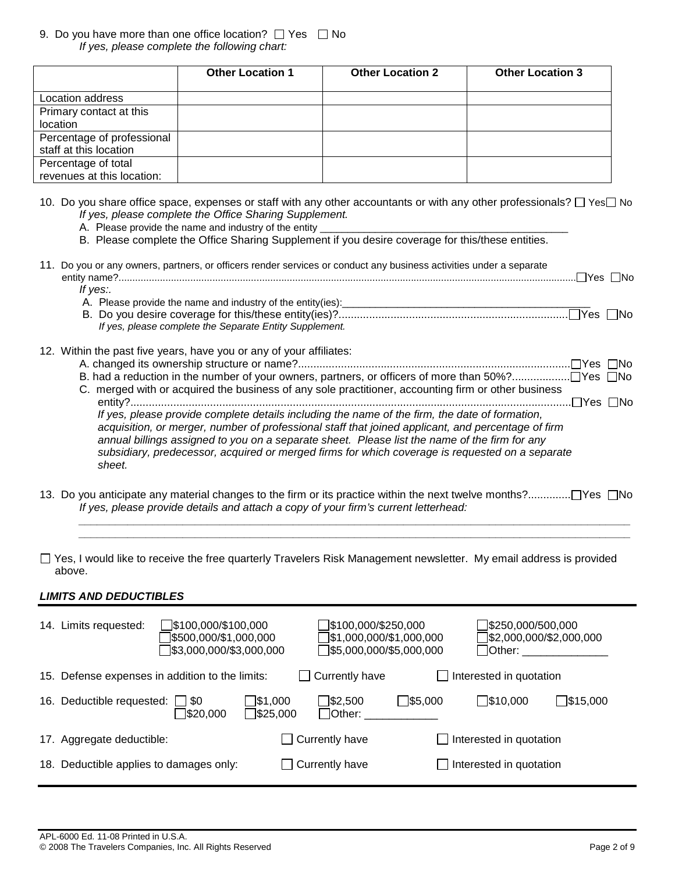### 9. Do you have more than one office location?  $\Box$  Yes  $\Box$  No *If yes, please complete the following chart:*

|                                                      | <b>Other Location 1</b> | <b>Other Location 2</b> | <b>Other Location 3</b> |
|------------------------------------------------------|-------------------------|-------------------------|-------------------------|
| Location address                                     |                         |                         |                         |
| Primary contact at this<br>location                  |                         |                         |                         |
| Percentage of professional<br>staff at this location |                         |                         |                         |
| Percentage of total<br>revenues at this location:    |                         |                         |                         |

- 10. Do you share office space, expenses or staff with any other accountants or with any other professionals?  $\Box$  Yes $\Box$  No *If yes, please complete the Office Sharing Supplement.* 
	- A. Please provide the name and industry of the entity
	- B. Please complete the Office Sharing Supplement if you desire coverage for this/these entities.

| 11. Do you or any owners, partners, or officers render services or conduct any business activities under a separate<br>$\Box$ Yes $\Box$ No |
|---------------------------------------------------------------------------------------------------------------------------------------------|
| If yes:.                                                                                                                                    |
| A. Please provide the name and industry of the entity(ies):                                                                                 |
|                                                                                                                                             |
| If yes, please complete the Separate Entity Supplement.                                                                                     |
| 12. Within the past five years, have you or any of your affiliates:                                                                         |
|                                                                                                                                             |
|                                                                                                                                             |
| C. merged with or acquired the business of any sole practitioner, accounting firm or other business                                         |
| .⊟Yes ∏No                                                                                                                                   |
| If yes, please provide complete details including the name of the firm, the date of formation,                                              |
| acquisition, or merger, number of professional staff that joined applicant, and percentage of firm                                          |
| a a controlled a constant and the company of the controlled the film of the control of the film for a controll                              |

 *annual billings assigned to you on a separate sheet. Please list the name of the firm for any subsidiary, predecessor, acquired or merged firms for which coverage is requested on a separate sheet.* 

13. Do you anticipate any material changes to the firm or its practice within the next twelve months?........................ Yes No  *If yes, please provide details and attach a copy of your firm's current letterhead: \_\_\_\_\_\_\_\_\_\_\_\_\_\_\_\_\_\_\_\_\_\_\_\_\_\_\_\_\_\_\_\_\_\_\_\_\_\_\_\_\_\_\_\_\_\_\_\_\_\_\_\_\_\_\_\_\_\_\_\_\_\_\_\_\_\_\_\_\_\_\_\_\_\_\_\_\_\_\_\_\_\_\_\_\_\_\_\_\_\_* 

 *\_\_\_\_\_\_\_\_\_\_\_\_\_\_\_\_\_\_\_\_\_\_\_\_\_\_\_\_\_\_\_\_\_\_\_\_\_\_\_\_\_\_\_\_\_\_\_\_\_\_\_\_\_\_\_\_\_\_\_\_\_\_\_\_\_\_\_\_\_\_\_\_\_\_\_\_\_\_\_\_\_\_\_\_\_\_\_\_\_\_* 

 $\Box$  Yes, I would like to receive the free quarterly Travelers Risk Management newsletter. My email address is provided above.

# *LIMITS AND DEDUCTIBLES*

| 14. Limits requested:                           | $\Box$ \$100,000/\$100,000<br>3500,000/\$1,000,000<br>$\sqrt{\$3,000,000/\$3,000,000}$ |                                     | 】\$100,000/\$250,000<br>31,000,000/\$1,000,000<br>$\sqrt{\$5,000,000/\$5,000,000}$ |                | $\Box$ \$250,000/500,000<br>$\sqrt{$2,000,000}{$2,000,000}$<br>Other: and the state of the state of the state of the state of the state of the state of the state of the state of the state of the state of the state of the state of the state of the state of the state of the state of the |                    |
|-------------------------------------------------|----------------------------------------------------------------------------------------|-------------------------------------|------------------------------------------------------------------------------------|----------------|-----------------------------------------------------------------------------------------------------------------------------------------------------------------------------------------------------------------------------------------------------------------------------------------------|--------------------|
| 15. Defense expenses in addition to the limits: |                                                                                        | $\blacksquare$                      | Currently have                                                                     |                | Interested in quotation                                                                                                                                                                                                                                                                       |                    |
| 16. Deductible requested: $\Box$ \$0            | ∫\$20,000                                                                              | 51,000<br>$\sqrt{\frac{25,000}{5}}$ | $\frac{1}{2}$ .500<br> Other:                                                      | $\Box$ \$5,000 | $\square$ \$10,000                                                                                                                                                                                                                                                                            | $\square$ \$15,000 |
| 17. Aggregate deductible:                       |                                                                                        |                                     | $\Box$ Currently have                                                              |                | Interested in quotation                                                                                                                                                                                                                                                                       |                    |
| 18. Deductible applies to damages only:         |                                                                                        |                                     | $\Box$ Currently have                                                              |                | Interested in quotation                                                                                                                                                                                                                                                                       |                    |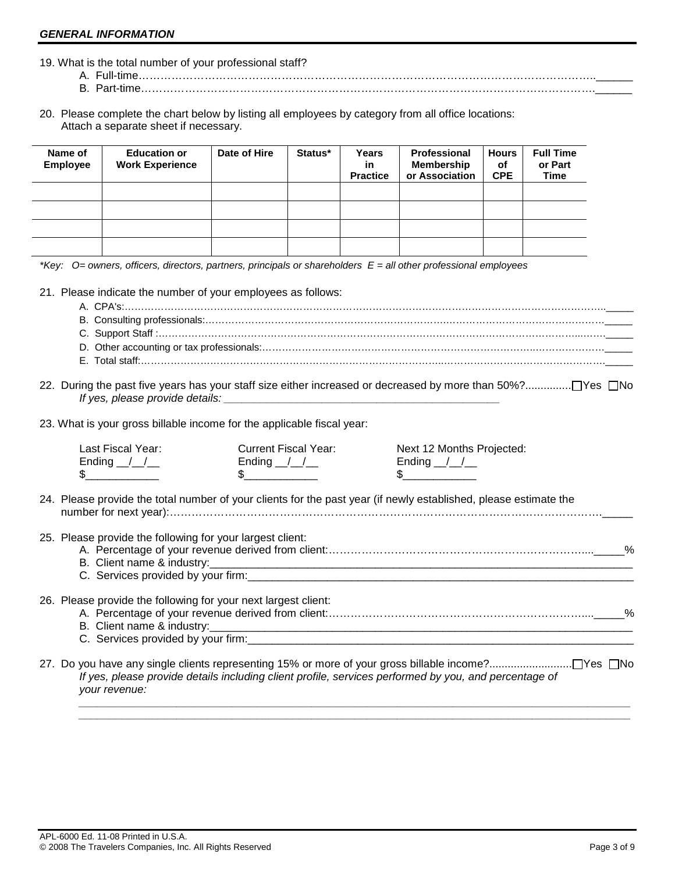- 19. What is the total number of your professional staff?
	- A. Full-time……………………………………………………………………………………………………………..\_\_\_\_\_\_ B. Part-time…………………………………………………………………………………………………………….\_\_\_\_\_\_
- 20. Please complete the chart below by listing all employees by category from all office locations: Attach a separate sheet if necessary.

| Name of<br><b>Employee</b> | <b>Education or</b><br><b>Work Experience</b> | Date of Hire | Status* | Years<br>in<br><b>Practice</b> | <b>Professional</b><br>Membership<br>or Association | <b>Hours</b><br>of<br><b>CPE</b> | <b>Full Time</b><br>or Part<br>Time |
|----------------------------|-----------------------------------------------|--------------|---------|--------------------------------|-----------------------------------------------------|----------------------------------|-------------------------------------|
|                            |                                               |              |         |                                |                                                     |                                  |                                     |
|                            |                                               |              |         |                                |                                                     |                                  |                                     |
|                            |                                               |              |         |                                |                                                     |                                  |                                     |
|                            |                                               |              |         |                                |                                                     |                                  |                                     |

*\*Key: O= owners, officers, directors, partners, principals or shareholders E = all other professional employees* 

21. Please indicate the number of your employees as follows:

22. During the past five years has your staff size either increased or decreased by more than 50%?............... Yes No  *If yes, please provide details: \_\_\_\_\_\_\_\_\_\_\_\_\_\_\_\_\_\_\_\_\_\_\_\_\_\_\_\_\_\_\_\_\_\_\_\_\_\_\_\_\_\_\_\_\_* 

23. What is your gross billable income for the applicable fiscal year:

| Last Fiscal Year:<br>Ending $\angle$<br>\$                     | Current Fiscal Year:<br>Ending $\angle$ | Next 12 Months Projected:<br>Ending $\angle$                                                                     |   |
|----------------------------------------------------------------|-----------------------------------------|------------------------------------------------------------------------------------------------------------------|---|
|                                                                |                                         | 24. Please provide the total number of your clients for the past year (if newly established, please estimate the |   |
| 25. Please provide the following for your largest client:      |                                         |                                                                                                                  | % |
| 26. Please provide the following for your next largest client: |                                         | C. Services provided by your firm: Sample Services and Services provided by your firm:                           | % |
| your revenue:                                                  |                                         | If yes, please provide details including client profile, services performed by you, and percentage of            |   |

 *\_\_\_\_\_\_\_\_\_\_\_\_\_\_\_\_\_\_\_\_\_\_\_\_\_\_\_\_\_\_\_\_\_\_\_\_\_\_\_\_\_\_\_\_\_\_\_\_\_\_\_\_\_\_\_\_\_\_\_\_\_\_\_\_\_\_\_\_\_\_\_\_\_\_\_\_\_\_\_\_\_\_\_\_\_\_\_\_\_\_*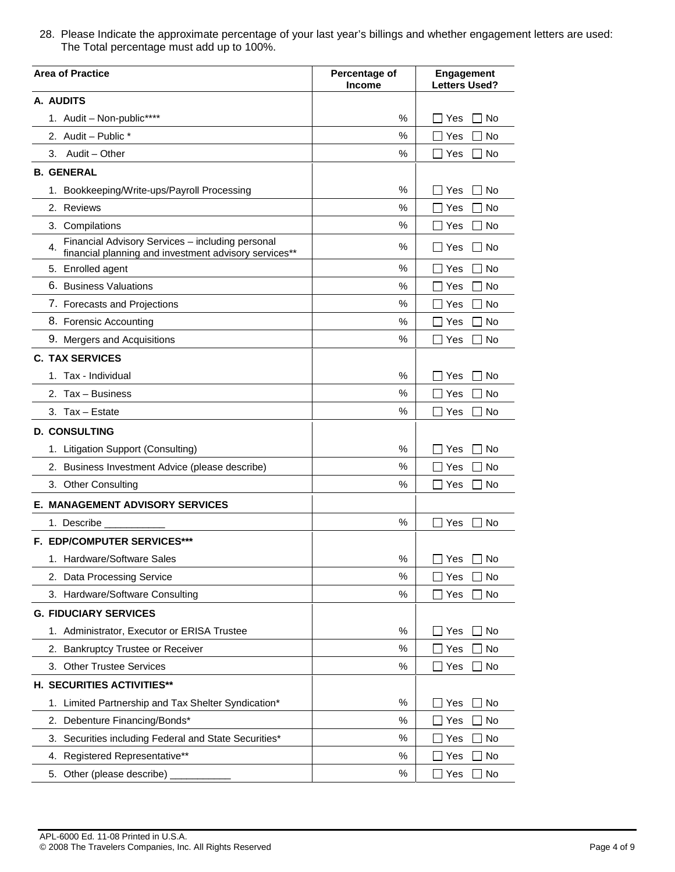28. Please Indicate the approximate percentage of your last year's billings and whether engagement letters are used: The Total percentage must add up to 100%.

| <b>Area of Practice</b>                                                                                         | Percentage of<br><b>Income</b> | <b>Engagement</b><br>Letters Used? |  |
|-----------------------------------------------------------------------------------------------------------------|--------------------------------|------------------------------------|--|
| A. AUDITS                                                                                                       |                                |                                    |  |
| 1. Audit - Non-public****                                                                                       | ℅                              | l No<br>Yes                        |  |
| 2. Audit - Public *                                                                                             | %                              | No<br>Yes                          |  |
| Audit – Other<br>3.                                                                                             | %                              | 1 No<br>Yes                        |  |
| <b>B. GENERAL</b>                                                                                               |                                |                                    |  |
| 1. Bookkeeping/Write-ups/Payroll Processing                                                                     | $\%$                           | No<br>Yes                          |  |
| 2. Reviews                                                                                                      | %                              | Yes<br>No                          |  |
| 3. Compilations                                                                                                 | %                              | Yes<br>l No                        |  |
| Financial Advisory Services - including personal<br>4.<br>financial planning and investment advisory services** | ℅                              | l No<br>Yes                        |  |
| 5. Enrolled agent                                                                                               | $\%$                           | No<br>Yes                          |  |
| 6. Business Valuations                                                                                          | %                              | No<br>Yes                          |  |
| 7. Forecasts and Projections                                                                                    | $\%$                           | <b>No</b><br>Yes                   |  |
| 8. Forensic Accounting                                                                                          | %                              | No<br>Yes                          |  |
| 9. Mergers and Acquisitions                                                                                     | %                              | Yes<br>No                          |  |
| <b>C. TAX SERVICES</b>                                                                                          |                                |                                    |  |
| 1. Tax - Individual                                                                                             | $\%$                           | No<br>Yes                          |  |
| 2. Tax - Business                                                                                               | $\%$                           | Yes<br>No<br>×.                    |  |
| 3. Tax - Estate                                                                                                 | %                              | Yes<br>No<br>×.                    |  |
| <b>D. CONSULTING</b>                                                                                            |                                |                                    |  |
| 1. Litigation Support (Consulting)                                                                              | %                              | Yes<br>No                          |  |
| 2. Business Investment Advice (please describe)                                                                 | $\%$                           | No<br>Yes                          |  |
| 3. Other Consulting                                                                                             | %                              | Yes<br>No                          |  |
| <b>E. MANAGEMENT ADVISORY SERVICES</b>                                                                          |                                |                                    |  |
| 1. Describe                                                                                                     | %                              | 1 No<br>Yes                        |  |
| <b>F. EDP/COMPUTER SERVICES***</b>                                                                              |                                |                                    |  |
| 1. Hardware/Software Sales                                                                                      | %                              | $\Box$ Yes $\Box$ No               |  |
| 2. Data Processing Service                                                                                      | %                              | No<br>Yes                          |  |
| 3. Hardware/Software Consulting                                                                                 | $\%$                           | Yes<br>No                          |  |
| <b>G. FIDUCIARY SERVICES</b>                                                                                    |                                |                                    |  |
| 1. Administrator, Executor or ERISA Trustee                                                                     | %                              | Yes<br>No                          |  |
| <b>Bankruptcy Trustee or Receiver</b><br>2.                                                                     | $\%$                           | Yes<br>∃ No                        |  |
| 3. Other Trustee Services                                                                                       | %                              | Yes<br>∃ No                        |  |
| H. SECURITIES ACTIVITIES**                                                                                      |                                |                                    |  |
| 1. Limited Partnership and Tax Shelter Syndication*                                                             | %                              | Yes<br>∣ No                        |  |
| Debenture Financing/Bonds*<br>2.                                                                                | $\%$                           | Yes<br>No                          |  |
| Securities including Federal and State Securities*<br>3.                                                        | %                              | No<br>Yes                          |  |
| Registered Representative**<br>4.                                                                               | %                              | Yes<br>No                          |  |
| Other (please describe)<br>5.                                                                                   | $\%$                           | $\sqsupset$ No<br>_] Yes           |  |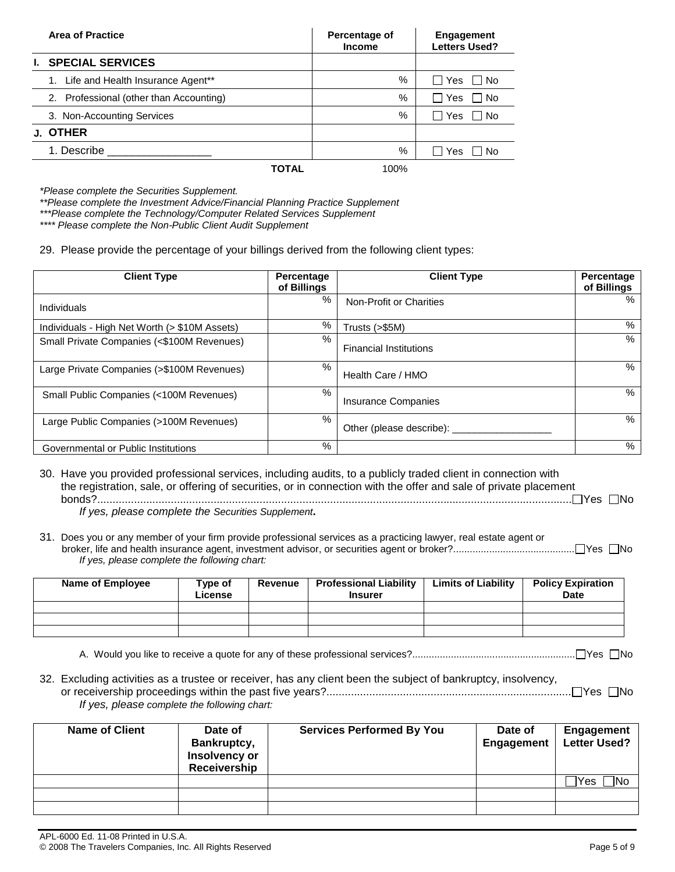| <b>Area of Practice</b>                 | Percentage of<br><b>Income</b> | Engagement<br><b>Letters Used?</b> |
|-----------------------------------------|--------------------------------|------------------------------------|
| <b>I. SPECIAL SERVICES</b>              |                                |                                    |
| 1. Life and Health Insurance Agent**    | %                              | □ No<br>l I Yes                    |
| 2. Professional (other than Accounting) | %                              | ∩ No<br>l I Yes                    |
| 3. Non-Accounting Services              | %                              | – I No<br>Yes                      |
| J. OTHER                                |                                |                                    |
| 1. Describe                             | %                              | ∩ No<br>Yes                        |
| TOTAL                                   | 100%                           |                                    |

*\*Please complete the Securities Supplement.* 

*\*\*Please complete the Investment Advice/Financial Planning Practice Supplement* 

*\*\*\*Please complete the Technology/Computer Related Services Supplement* 

*\*\*\*\* Please complete the Non-Public Client Audit Supplement*

29. Please provide the percentage of your billings derived from the following client types:

| <b>Client Type</b>                            | Percentage<br>of Billings | <b>Client Type</b>            | Percentage<br>of Billings |
|-----------------------------------------------|---------------------------|-------------------------------|---------------------------|
| Individuals                                   | %                         | Non-Profit or Charities       | %                         |
| Individuals - High Net Worth (> \$10M Assets) | %                         | Trusts (>\$5M)                | $\%$                      |
| Small Private Companies (<\$100M Revenues)    | %                         | <b>Financial Institutions</b> | %                         |
| Large Private Companies (>\$100M Revenues)    | %                         | Health Care / HMO             | %                         |
| Small Public Companies (<100M Revenues)       | $\%$                      | <b>Insurance Companies</b>    | %                         |
| Large Public Companies (>100M Revenues)       | $\%$                      | Other (please describe):      | %                         |
| Governmental or Public Institutions           | %                         |                               | %                         |

30. Have you provided professional services, including audits, to a publicly traded client in connection with the registration, sale, or offering of securities, or in connection with the offer and sale of private placement bonds?........................................................................................................................................................... Yes No  *If yes, please complete the Securities Supplement***.** 

31. Does you or any member of your firm provide professional services as a practicing lawyer, real estate agent or broker, life and health insurance agent, investment advisor, or securities agent or broker?............................................ Yes No *If yes, please complete the following chart:* 

| Name of Employee | Type of<br>License | Revenue | <b>Professional Liability</b><br><b>Insurer</b> | <b>Limits of Liability</b> | <b>Policy Expiration</b><br><b>Date</b> |
|------------------|--------------------|---------|-------------------------------------------------|----------------------------|-----------------------------------------|
|                  |                    |         |                                                 |                            |                                         |
|                  |                    |         |                                                 |                            |                                         |
|                  |                    |         |                                                 |                            |                                         |

- A. Would you like to receive a quote for any of these professional services?........................................................... Yes No
- 32. Excluding activities as a trustee or receiver, has any client been the subject of bankruptcy, insolvency, or receivership proceedings within the past five years?................................................................................ Yes No *If yes, please complete the following chart:*

| <b>Name of Client</b> | Date of<br>Bankruptcy,<br>Insolvency or<br>Receivership | <b>Services Performed By You</b> | Date of<br>Engagement | <b>Engagement</b><br><b>Letter Used?</b> |
|-----------------------|---------------------------------------------------------|----------------------------------|-----------------------|------------------------------------------|
|                       |                                                         |                                  |                       | <b>INc</b><br>Yes                        |
|                       |                                                         |                                  |                       |                                          |
|                       |                                                         |                                  |                       |                                          |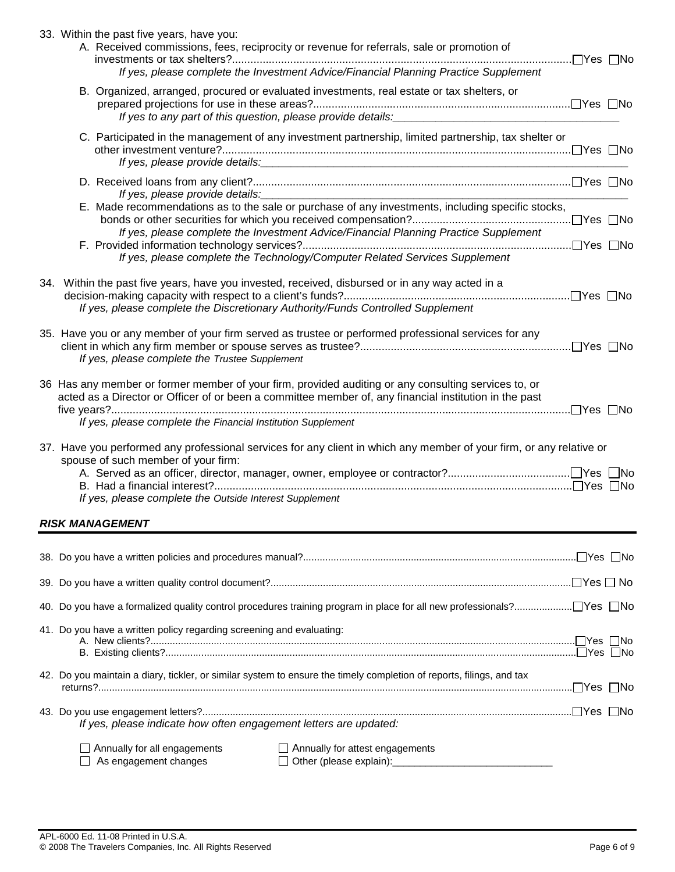|  | 33. Within the past five years, have you:<br>A. Received commissions, fees, reciprocity or revenue for referrals, sale or promotion of<br>If yes, please complete the Investment Advice/Financial Planning Practice Supplement                                                                                                         |  |
|--|----------------------------------------------------------------------------------------------------------------------------------------------------------------------------------------------------------------------------------------------------------------------------------------------------------------------------------------|--|
|  | B. Organized, arranged, procured or evaluated investments, real estate or tax shelters, or<br>If yes to any part of this question, please provide details: [11] [2010] [2010] [2010] [2010] [2010] [2010] [2010] [2010] [2010] [2010] [2010] [2010] [2010] [2010] [2010] [2010] [2010] [2010] [2010] [2010] [2010] [2010] [2           |  |
|  | C. Participated in the management of any investment partnership, limited partnership, tax shelter or<br>If yes, please provide details: example and a series of the series of the series of the series of the series of the series of the series of the series of the series of the series of the series of the series of the series o |  |
|  |                                                                                                                                                                                                                                                                                                                                        |  |
|  | E. Made recommendations as to the sale or purchase of any investments, including specific stocks,<br>If yes, please complete the Investment Advice/Financial Planning Practice Supplement                                                                                                                                              |  |
|  | If yes, please complete the Technology/Computer Related Services Supplement                                                                                                                                                                                                                                                            |  |
|  | 34. Within the past five years, have you invested, received, disbursed or in any way acted in a<br>If yes, please complete the Discretionary Authority/Funds Controlled Supplement                                                                                                                                                     |  |
|  | 35. Have you or any member of your firm served as trustee or performed professional services for any<br>If yes, please complete the Trustee Supplement                                                                                                                                                                                 |  |
|  | 36 Has any member or former member of your firm, provided auditing or any consulting services to, or<br>acted as a Director or Officer of or been a committee member of, any financial institution in the past<br>If yes, please complete the Financial Institution Supplement                                                         |  |
|  | 37. Have you performed any professional services for any client in which any member of your firm, or any relative or<br>spouse of such member of your firm:                                                                                                                                                                            |  |
|  | If yes, please complete the Outside Interest Supplement                                                                                                                                                                                                                                                                                |  |
|  | <b>RISK MANAGEMENT</b>                                                                                                                                                                                                                                                                                                                 |  |
|  |                                                                                                                                                                                                                                                                                                                                        |  |
|  |                                                                                                                                                                                                                                                                                                                                        |  |
|  |                                                                                                                                                                                                                                                                                                                                        |  |
|  | 41. Do you have a written policy regarding screening and evaluating:                                                                                                                                                                                                                                                                   |  |
|  | 42. Do you maintain a diary, tickler, or similar system to ensure the timely completion of reports, filings, and tax                                                                                                                                                                                                                   |  |
|  | If yes, please indicate how often engagement letters are updated:                                                                                                                                                                                                                                                                      |  |

| $\Box$ Annually for all engagements | Annually for attest engagements |
|-------------------------------------|---------------------------------|
| $\Box$ As engagement changes        | $\Box$ Other (please explain):  |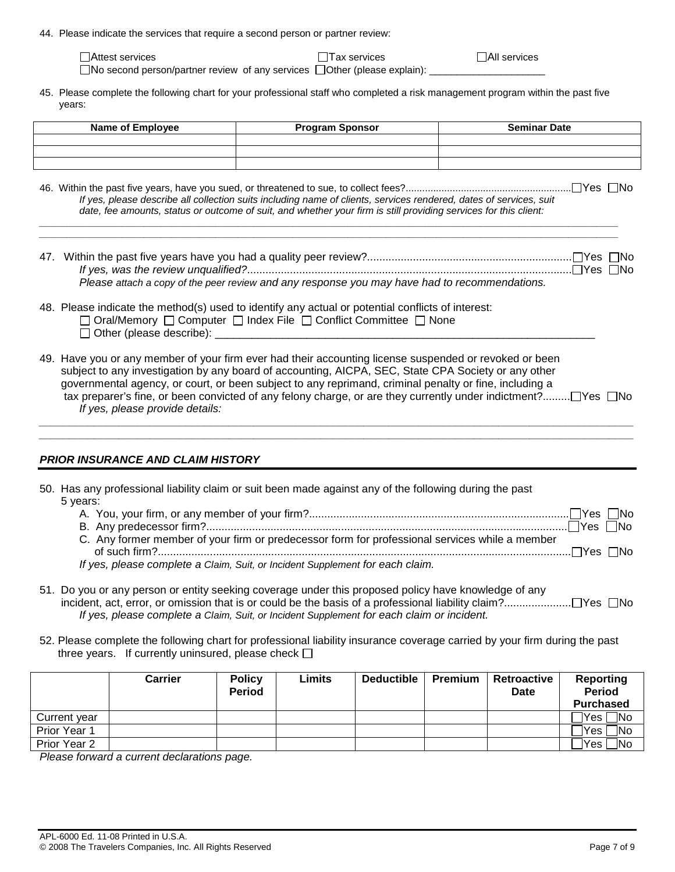44. Please indicate the services that require a second person or partner review:

| $\Box$ Attest services | □Tax services                                                                         | $\sqcap$ All services |
|------------------------|---------------------------------------------------------------------------------------|-----------------------|
|                        | $\Box$ No second person/partner review of any services $\Box$ Other (please explain): |                       |

45. Please complete the following chart for your professional staff who completed a risk management program within the past five years:

| Name of Employee | <b>Program Sponsor</b> | <b>Seminar Date</b> |
|------------------|------------------------|---------------------|
|                  |                        |                     |
|                  |                        |                     |
|                  |                        |                     |

46. Within the past five years, have you sued, or threatened to sue, to collect fees?............................................................ Yes No *If yes, please describe all collection suits including name of clients, services rendered, dates of services, suit date, fee amounts, status or outcome of suit, and whether your firm is still providing services for this client:* 

*\_\_\_\_\_\_\_\_\_\_\_\_\_\_\_\_\_\_\_\_\_\_\_\_\_\_\_\_\_\_\_\_\_\_\_\_\_\_\_\_\_\_\_\_\_\_\_\_\_\_\_\_\_\_\_\_\_\_\_\_\_\_\_\_\_\_\_\_\_\_\_\_\_\_\_\_\_\_\_\_\_\_\_\_\_\_\_\_\_\_\_\_\_\_\_\_\_\_\_\_\_\_\_\_\_ \_\_\_\_\_\_\_\_\_\_\_\_\_\_\_\_\_\_\_\_\_\_\_\_\_\_\_\_\_\_\_\_\_\_\_\_\_\_\_\_\_\_\_\_\_\_\_\_\_\_\_\_\_\_\_\_\_\_\_\_\_\_\_\_\_\_\_\_\_\_\_\_\_\_\_\_\_\_\_\_\_\_\_\_\_\_\_\_\_\_\_\_\_\_\_\_\_\_\_\_\_\_\_\_\_* 

- 47. Within the past five years have you had a quality peer review?................................................................... Yes No *If yes, was the review unqualified?*.......................................................................................................... Yes No *Please attach a copy of the peer review and any response you may have had to recommendations.*
- 48. Please indicate the method(s) used to identify any actual or potential conflicts of interest:

| □ Oral/Memory □ Computer □ Index File □ Conflict Committee □ None |  |
|-------------------------------------------------------------------|--|
| $\Box$ Other (please describe):                                   |  |

49. Have you or any member of your firm ever had their accounting license suspended or revoked or been subject to any investigation by any board of accounting, AICPA, SEC, State CPA Society or any other governmental agency, or court, or been subject to any reprimand, criminal penalty or fine, including a tax preparer's fine, or been convicted of any felony charge, or are they currently under indictment?......... Yes No *If yes, please provide details:* 

*\_\_\_\_\_\_\_\_\_\_\_\_\_\_\_\_\_\_\_\_\_\_\_\_\_\_\_\_\_\_\_\_\_\_\_\_\_\_\_\_\_\_\_\_\_\_\_\_\_\_\_\_\_\_\_\_\_\_\_\_\_\_\_\_\_\_\_\_\_\_\_\_\_\_\_\_\_\_\_\_\_\_\_\_\_\_\_\_\_\_\_\_\_\_\_\_\_ \_\_\_\_\_\_\_\_\_\_\_\_\_\_\_\_\_\_\_\_\_\_\_\_\_\_\_\_\_\_\_\_\_\_\_\_\_\_\_\_\_\_\_\_\_\_\_\_\_\_\_\_\_\_\_\_\_\_\_\_\_\_\_\_\_\_\_\_\_\_\_\_\_\_\_\_\_\_\_\_\_\_\_\_\_\_\_\_\_\_\_\_\_\_\_\_\_* 

# *PRIOR INSURANCE AND CLAIM HISTORY*

| 50. Has any professional liability claim or suit been made against any of the following during the past |
|---------------------------------------------------------------------------------------------------------|
| 5 vears:                                                                                                |
|                                                                                                         |
|                                                                                                         |
| C. Any former member of your firm or predecessor form for professional services while a member          |
|                                                                                                         |

- *If yes, please complete a Claim, Suit, or Incident Supplement for each claim.*
- 51. Do you or any person or entity seeking coverage under this proposed policy have knowledge of any incident, act, error, or omission that is or could be the basis of a professional liability claim?...................... Yes No *If yes, please complete a Claim, Suit, or Incident Supplement for each claim or incident.*
- 52. Please complete the following chart for professional liability insurance coverage carried by your firm during the past three years. If currently uninsured, please check  $\Box$

|              | <b>Carrier</b> | <b>Policy</b><br><b>Period</b> | Limits | <b>Deductible</b> | Premium | Retroactive<br>Date | <b>Reporting</b><br><b>Period</b> |
|--------------|----------------|--------------------------------|--------|-------------------|---------|---------------------|-----------------------------------|
|              |                |                                |        |                   |         |                     | <b>Purchased</b>                  |
| Current year |                |                                |        |                   |         |                     | $\exists$ No<br>™es i             |
| Prior Year 1 |                |                                |        |                   |         |                     | ∏No<br><i><b>Yes</b></i>          |
| Prior Year 2 |                |                                |        |                   |         |                     | $\n  1$ No<br>Yes                 |

*Please forward a current declarations page.*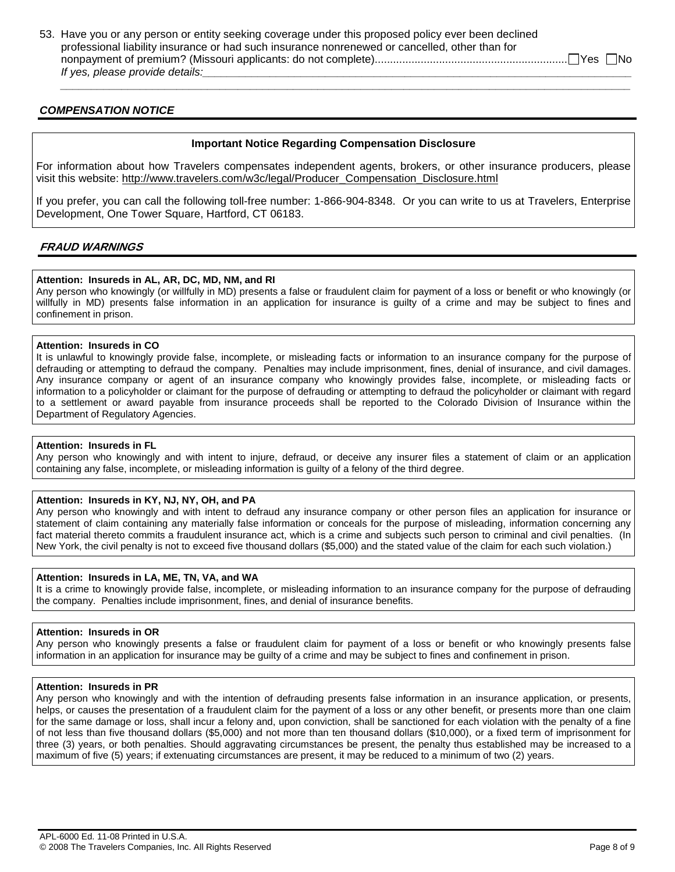53. Have you or any person or entity seeking coverage under this proposed policy ever been declined professional liability insurance or had such insurance nonrenewed or cancelled, other than for nonpayment of premium? (Missouri applicants: do not complete)............................................................... Yes No *If yes, please provide details:* 

# *COMPENSATION NOTICE*

# **Important Notice Regarding Compensation Disclosure**

 *\_\_\_\_\_\_\_\_\_\_\_\_\_\_\_\_\_\_\_\_\_\_\_\_\_\_\_\_\_\_\_\_\_\_\_\_\_\_\_\_\_\_\_\_\_\_\_\_\_\_\_\_\_\_\_\_\_\_\_\_\_\_\_\_\_\_\_\_\_\_\_\_\_\_\_\_\_\_\_\_\_\_\_\_\_\_\_\_\_\_\_\_\_* 

For information about how Travelers compensates independent agents, brokers, or other insurance producers, please visit this website: http://www.travelers.com/w3c/legal/Producer\_Compensation\_Disclosure.html

If you prefer, you can call the following toll-free number: 1-866-904-8348. Or you can write to us at Travelers, Enterprise Development, One Tower Square, Hartford, CT 06183.

# **FRAUD WARNINGS**

# **Attention: Insureds in AL, AR, DC, MD, NM, and RI**

Any person who knowingly (or willfully in MD) presents a false or fraudulent claim for payment of a loss or benefit or who knowingly (or willfully in MD) presents false information in an application for insurance is guilty of a crime and may be subject to fines and confinement in prison.

#### **Attention: Insureds in CO**

It is unlawful to knowingly provide false, incomplete, or misleading facts or information to an insurance company for the purpose of defrauding or attempting to defraud the company. Penalties may include imprisonment, fines, denial of insurance, and civil damages. Any insurance company or agent of an insurance company who knowingly provides false, incomplete, or misleading facts or information to a policyholder or claimant for the purpose of defrauding or attempting to defraud the policyholder or claimant with regard to a settlement or award payable from insurance proceeds shall be reported to the Colorado Division of Insurance within the Department of Regulatory Agencies.

#### **Attention: Insureds in FL**

Any person who knowingly and with intent to injure, defraud, or deceive any insurer files a statement of claim or an application containing any false, incomplete, or misleading information is guilty of a felony of the third degree.

#### **Attention: Insureds in KY, NJ, NY, OH, and PA**

Any person who knowingly and with intent to defraud any insurance company or other person files an application for insurance or statement of claim containing any materially false information or conceals for the purpose of misleading, information concerning any fact material thereto commits a fraudulent insurance act, which is a crime and subjects such person to criminal and civil penalties. (In New York, the civil penalty is not to exceed five thousand dollars (\$5,000) and the stated value of the claim for each such violation.)

#### **Attention: Insureds in LA, ME, TN, VA, and WA**

It is a crime to knowingly provide false, incomplete, or misleading information to an insurance company for the purpose of defrauding the company. Penalties include imprisonment, fines, and denial of insurance benefits.

#### **Attention: Insureds in OR**

Any person who knowingly presents a false or fraudulent claim for payment of a loss or benefit or who knowingly presents false information in an application for insurance may be guilty of a crime and may be subject to fines and confinement in prison.

#### **Attention: Insureds in PR**

Any person who knowingly and with the intention of defrauding presents false information in an insurance application, or presents, helps, or causes the presentation of a fraudulent claim for the payment of a loss or any other benefit, or presents more than one claim for the same damage or loss, shall incur a felony and, upon conviction, shall be sanctioned for each violation with the penalty of a fine of not less than five thousand dollars (\$5,000) and not more than ten thousand dollars (\$10,000), or a fixed term of imprisonment for three (3) years, or both penalties. Should aggravating circumstances be present, the penalty thus established may be increased to a maximum of five (5) years; if extenuating circumstances are present, it may be reduced to a minimum of two (2) years.